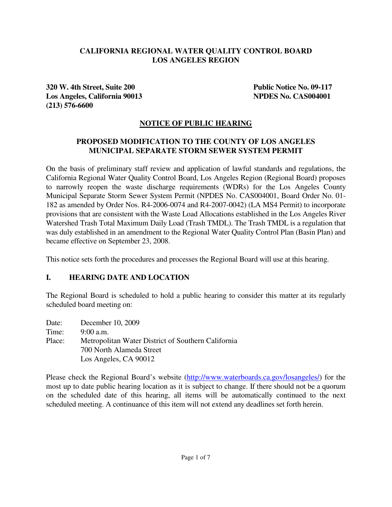#### **CALIFORNIA REGIONAL WATER QUALITY CONTROL BOARD LOS ANGELES REGION**

**320 W. 4th Street, Suite 200 Public Notice No. 09-117 Los Angeles, California 90013 NPDES No. CAS004001 (213) 576-6600** 

#### **NOTICE OF PUBLIC HEARING**

#### **PROPOSED MODIFICATION TO THE COUNTY OF LOS ANGELES MUNICIPAL SEPARATE STORM SEWER SYSTEM PERMIT**

On the basis of preliminary staff review and application of lawful standards and regulations, the California Regional Water Quality Control Board, Los Angeles Region (Regional Board) proposes to narrowly reopen the waste discharge requirements (WDRs) for the Los Angeles County Municipal Separate Storm Sewer System Permit (NPDES No. CAS004001, Board Order No. 01- 182 as amended by Order Nos. R4-2006-0074 and R4-2007-0042) (LA MS4 Permit) to incorporate provisions that are consistent with the Waste Load Allocations established in the Los Angeles River Watershed Trash Total Maximum Daily Load (Trash TMDL). The Trash TMDL is a regulation that was duly established in an amendment to the Regional Water Quality Control Plan (Basin Plan) and became effective on September 23, 2008.

This notice sets forth the procedures and processes the Regional Board will use at this hearing.

#### **I. HEARING DATE AND LOCATION**

The Regional Board is scheduled to hold a public hearing to consider this matter at its regularly scheduled board meeting on:

Date: December 10, 2009 Time: 9:00 a.m. Place: Metropolitan Water District of Southern California 700 North Alameda Street Los Angeles, CA 90012

Please check the Regional Board's website (http://www.waterboards.ca.gov/losangeles/) for the most up to date public hearing location as it is subject to change. If there should not be a quorum on the scheduled date of this hearing, all items will be automatically continued to the next scheduled meeting. A continuance of this item will not extend any deadlines set forth herein.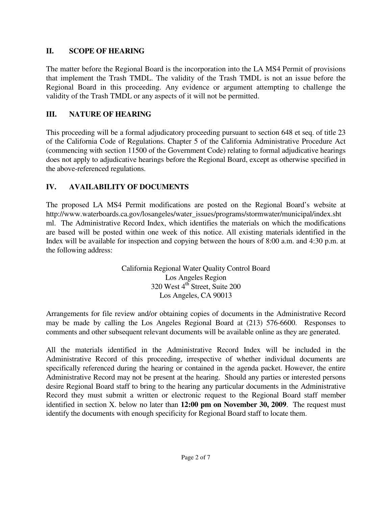#### **II. SCOPE OF HEARING**

The matter before the Regional Board is the incorporation into the LA MS4 Permit of provisions that implement the Trash TMDL. The validity of the Trash TMDL is not an issue before the Regional Board in this proceeding. Any evidence or argument attempting to challenge the validity of the Trash TMDL or any aspects of it will not be permitted.

## **III. NATURE OF HEARING**

This proceeding will be a formal adjudicatory proceeding pursuant to section 648 et seq. of title 23 of the California Code of Regulations. Chapter 5 of the California Administrative Procedure Act (commencing with section 11500 of the Government Code) relating to formal adjudicative hearings does not apply to adjudicative hearings before the Regional Board, except as otherwise specified in the above-referenced regulations.

# **IV. AVAILABILITY OF DOCUMENTS**

The proposed LA MS4 Permit modifications are posted on the Regional Board's website at http://www.waterboards.ca.gov/losangeles/water\_issues/programs/stormwater/municipal/index.sht ml. The Administrative Record Index, which identifies the materials on which the modifications are based will be posted within one week of this notice. All existing materials identified in the Index will be available for inspection and copying between the hours of 8:00 a.m. and 4:30 p.m. at the following address:

> California Regional Water Quality Control Board Los Angeles Region 320 West 4<sup>th</sup> Street, Suite 200 Los Angeles, CA 90013

Arrangements for file review and/or obtaining copies of documents in the Administrative Record may be made by calling the Los Angeles Regional Board at (213) 576-6600. Responses to comments and other subsequent relevant documents will be available online as they are generated.

All the materials identified in the Administrative Record Index will be included in the Administrative Record of this proceeding, irrespective of whether individual documents are specifically referenced during the hearing or contained in the agenda packet. However, the entire Administrative Record may not be present at the hearing. Should any parties or interested persons desire Regional Board staff to bring to the hearing any particular documents in the Administrative Record they must submit a written or electronic request to the Regional Board staff member identified in section X. below no later than **12:00 pm on November 30, 2009**. The request must identify the documents with enough specificity for Regional Board staff to locate them.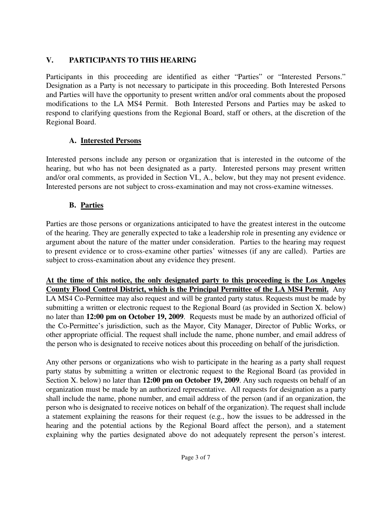## **V. PARTICIPANTS TO THIS HEARING**

Participants in this proceeding are identified as either "Parties" or "Interested Persons." Designation as a Party is not necessary to participate in this proceeding. Both Interested Persons and Parties will have the opportunity to present written and/or oral comments about the proposed modifications to the LA MS4 Permit. Both Interested Persons and Parties may be asked to respond to clarifying questions from the Regional Board, staff or others, at the discretion of the Regional Board.

# **A. Interested Persons**

Interested persons include any person or organization that is interested in the outcome of the hearing, but who has not been designated as a party. Interested persons may present written and/or oral comments, as provided in Section VI., A., below, but they may not present evidence. Interested persons are not subject to cross-examination and may not cross-examine witnesses.

# **B. Parties**

Parties are those persons or organizations anticipated to have the greatest interest in the outcome of the hearing. They are generally expected to take a leadership role in presenting any evidence or argument about the nature of the matter under consideration. Parties to the hearing may request to present evidence or to cross-examine other parties' witnesses (if any are called). Parties are subject to cross-examination about any evidence they present.

**At the time of this notice, the only designated party to this proceeding is the Los Angeles County Flood Control District, which is the Principal Permittee of the LA MS4 Permit.** Any LA MS4 Co-Permittee may also request and will be granted party status. Requests must be made by submitting a written or electronic request to the Regional Board (as provided in Section X. below) no later than **12:00 pm on October 19, 2009**. Requests must be made by an authorized official of the Co-Permittee's jurisdiction, such as the Mayor, City Manager, Director of Public Works, or other appropriate official. The request shall include the name, phone number, and email address of the person who is designated to receive notices about this proceeding on behalf of the jurisdiction.

Any other persons or organizations who wish to participate in the hearing as a party shall request party status by submitting a written or electronic request to the Regional Board (as provided in Section X. below) no later than **12:00 pm on October 19, 2009**. Any such requests on behalf of an organization must be made by an authorized representative. All requests for designation as a party shall include the name, phone number, and email address of the person (and if an organization, the person who is designated to receive notices on behalf of the organization). The request shall include a statement explaining the reasons for their request (e.g., how the issues to be addressed in the hearing and the potential actions by the Regional Board affect the person), and a statement explaining why the parties designated above do not adequately represent the person's interest.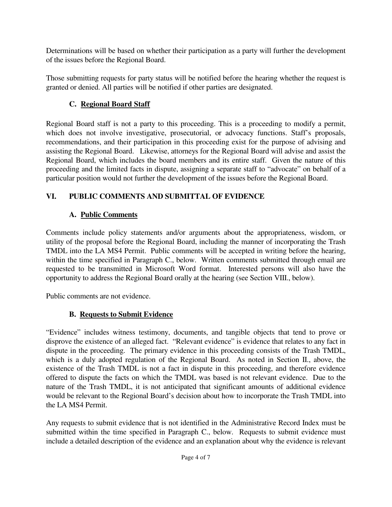Determinations will be based on whether their participation as a party will further the development of the issues before the Regional Board.

Those submitting requests for party status will be notified before the hearing whether the request is granted or denied. All parties will be notified if other parties are designated.

## **C. Regional Board Staff**

Regional Board staff is not a party to this proceeding. This is a proceeding to modify a permit, which does not involve investigative, prosecutorial, or advocacy functions. Staff's proposals, recommendations, and their participation in this proceeding exist for the purpose of advising and assisting the Regional Board. Likewise, attorneys for the Regional Board will advise and assist the Regional Board, which includes the board members and its entire staff. Given the nature of this proceeding and the limited facts in dispute, assigning a separate staff to "advocate" on behalf of a particular position would not further the development of the issues before the Regional Board.

## **VI. PUBLIC COMMENTS AND SUBMITTAL OF EVIDENCE**

## **A. Public Comments**

Comments include policy statements and/or arguments about the appropriateness, wisdom, or utility of the proposal before the Regional Board, including the manner of incorporating the Trash TMDL into the LA MS4 Permit. Public comments will be accepted in writing before the hearing, within the time specified in Paragraph C., below. Written comments submitted through email are requested to be transmitted in Microsoft Word format. Interested persons will also have the opportunity to address the Regional Board orally at the hearing (see Section VIII., below).

Public comments are not evidence.

#### **B. Requests to Submit Evidence**

"Evidence" includes witness testimony, documents, and tangible objects that tend to prove or disprove the existence of an alleged fact. "Relevant evidence" is evidence that relates to any fact in dispute in the proceeding. The primary evidence in this proceeding consists of the Trash TMDL, which is a duly adopted regulation of the Regional Board. As noted in Section II., above, the existence of the Trash TMDL is not a fact in dispute in this proceeding, and therefore evidence offered to dispute the facts on which the TMDL was based is not relevant evidence. Due to the nature of the Trash TMDL, it is not anticipated that significant amounts of additional evidence would be relevant to the Regional Board's decision about how to incorporate the Trash TMDL into the LA MS4 Permit.

Any requests to submit evidence that is not identified in the Administrative Record Index must be submitted within the time specified in Paragraph C., below. Requests to submit evidence must include a detailed description of the evidence and an explanation about why the evidence is relevant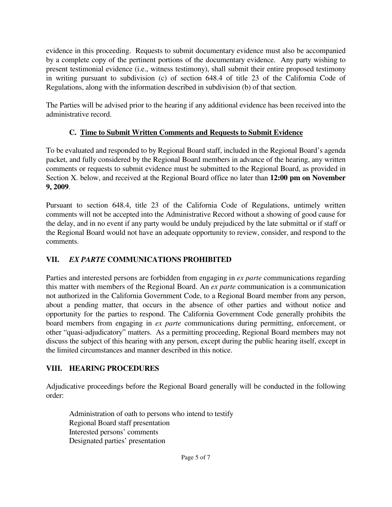evidence in this proceeding. Requests to submit documentary evidence must also be accompanied by a complete copy of the pertinent portions of the documentary evidence. Any party wishing to present testimonial evidence (i.e., witness testimony), shall submit their entire proposed testimony in writing pursuant to subdivision (c) of section 648.4 of title 23 of the California Code of Regulations, along with the information described in subdivision (b) of that section.

The Parties will be advised prior to the hearing if any additional evidence has been received into the administrative record.

## **C. Time to Submit Written Comments and Requests to Submit Evidence**

To be evaluated and responded to by Regional Board staff, included in the Regional Board's agenda packet, and fully considered by the Regional Board members in advance of the hearing, any written comments or requests to submit evidence must be submitted to the Regional Board, as provided in Section X. below, and received at the Regional Board office no later than **12:00 pm on November 9, 2009**.

Pursuant to section 648.4, title 23 of the California Code of Regulations, untimely written comments will not be accepted into the Administrative Record without a showing of good cause for the delay, and in no event if any party would be unduly prejudiced by the late submittal or if staff or the Regional Board would not have an adequate opportunity to review, consider, and respond to the comments.

## **VII.** *EX PARTE* **COMMUNICATIONS PROHIBITED**

Parties and interested persons are forbidden from engaging in *ex parte* communications regarding this matter with members of the Regional Board. An *ex parte* communication is a communication not authorized in the California Government Code, to a Regional Board member from any person, about a pending matter, that occurs in the absence of other parties and without notice and opportunity for the parties to respond. The California Government Code generally prohibits the board members from engaging in *ex parte* communications during permitting, enforcement, or other "quasi-adjudicatory" matters. As a permitting proceeding, Regional Board members may not discuss the subject of this hearing with any person, except during the public hearing itself, except in the limited circumstances and manner described in this notice.

## **VIII. HEARING PROCEDURES**

Adjudicative proceedings before the Regional Board generally will be conducted in the following order:

 Administration of oath to persons who intend to testify Regional Board staff presentation Interested persons' comments Designated parties' presentation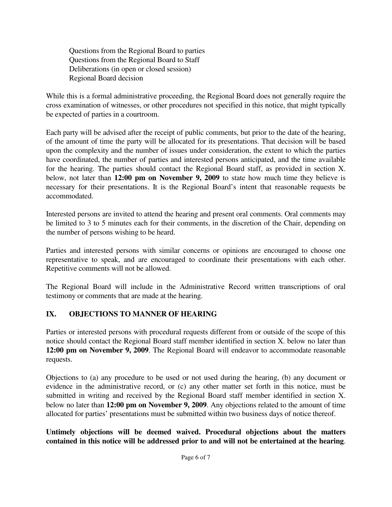Questions from the Regional Board to parties Questions from the Regional Board to Staff Deliberations (in open or closed session) Regional Board decision

While this is a formal administrative proceeding, the Regional Board does not generally require the cross examination of witnesses, or other procedures not specified in this notice, that might typically be expected of parties in a courtroom.

Each party will be advised after the receipt of public comments, but prior to the date of the hearing, of the amount of time the party will be allocated for its presentations. That decision will be based upon the complexity and the number of issues under consideration, the extent to which the parties have coordinated, the number of parties and interested persons anticipated, and the time available for the hearing. The parties should contact the Regional Board staff, as provided in section X. below, not later than **12:00 pm on November 9, 2009** to state how much time they believe is necessary for their presentations. It is the Regional Board's intent that reasonable requests be accommodated.

Interested persons are invited to attend the hearing and present oral comments. Oral comments may be limited to 3 to 5 minutes each for their comments, in the discretion of the Chair, depending on the number of persons wishing to be heard.

Parties and interested persons with similar concerns or opinions are encouraged to choose one representative to speak, and are encouraged to coordinate their presentations with each other. Repetitive comments will not be allowed.

The Regional Board will include in the Administrative Record written transcriptions of oral testimony or comments that are made at the hearing.

#### **IX. OBJECTIONS TO MANNER OF HEARING**

Parties or interested persons with procedural requests different from or outside of the scope of this notice should contact the Regional Board staff member identified in section X. below no later than **12:00 pm on November 9, 2009**. The Regional Board will endeavor to accommodate reasonable requests.

Objections to (a) any procedure to be used or not used during the hearing, (b) any document or evidence in the administrative record, or (c) any other matter set forth in this notice, must be submitted in writing and received by the Regional Board staff member identified in section X. below no later than **12:00 pm on November 9, 2009**. Any objections related to the amount of time allocated for parties' presentations must be submitted within two business days of notice thereof.

**Untimely objections will be deemed waived. Procedural objections about the matters contained in this notice will be addressed prior to and will not be entertained at the hearing**.